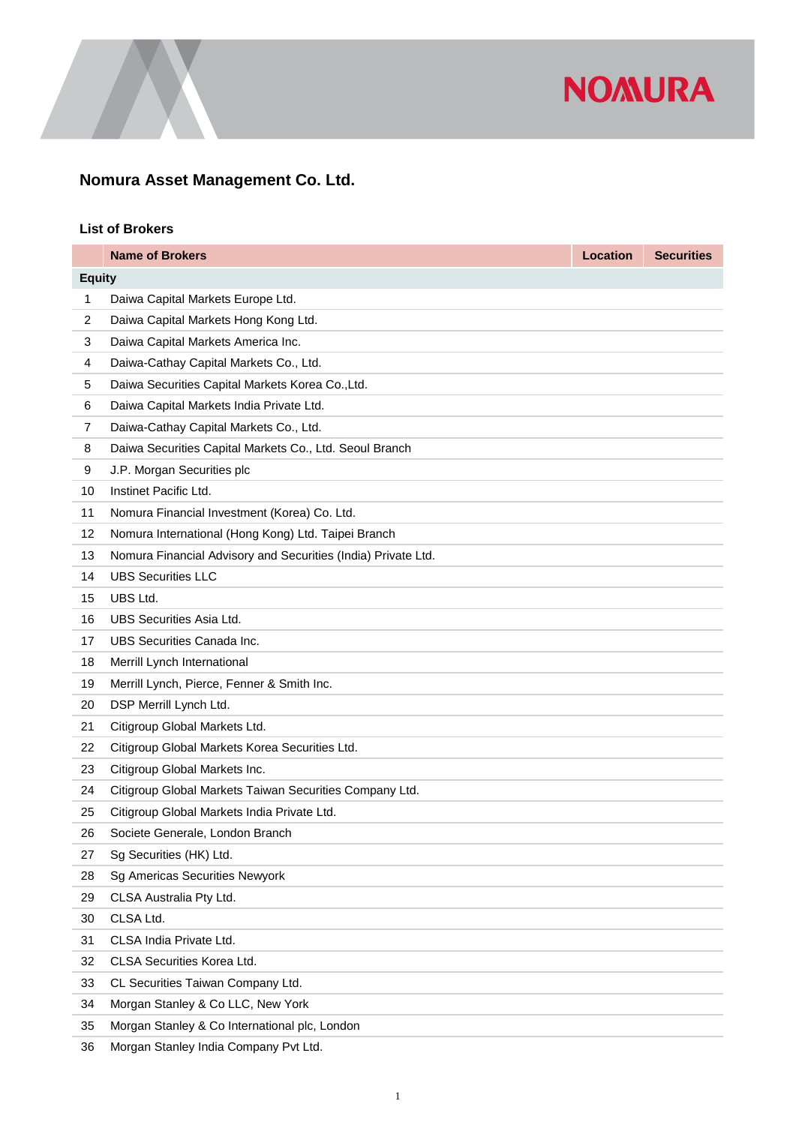

#### **Nomura Asset Management Co. Ltd.**

#### **List of Brokers**

|               | <b>Name of Brokers</b>                                        | <b>Location</b> | <b>Securities</b> |
|---------------|---------------------------------------------------------------|-----------------|-------------------|
| <b>Equity</b> |                                                               |                 |                   |
| 1             | Daiwa Capital Markets Europe Ltd.                             |                 |                   |
| 2             | Daiwa Capital Markets Hong Kong Ltd.                          |                 |                   |
| 3             | Daiwa Capital Markets America Inc.                            |                 |                   |
| 4             | Daiwa-Cathay Capital Markets Co., Ltd.                        |                 |                   |
| 5             | Daiwa Securities Capital Markets Korea Co., Ltd.              |                 |                   |
| 6             | Daiwa Capital Markets India Private Ltd.                      |                 |                   |
| 7             | Daiwa-Cathay Capital Markets Co., Ltd.                        |                 |                   |
| 8             | Daiwa Securities Capital Markets Co., Ltd. Seoul Branch       |                 |                   |
| 9             | J.P. Morgan Securities plc                                    |                 |                   |
| 10            | Instinet Pacific Ltd.                                         |                 |                   |
| 11            | Nomura Financial Investment (Korea) Co. Ltd.                  |                 |                   |
| 12            | Nomura International (Hong Kong) Ltd. Taipei Branch           |                 |                   |
| 13            | Nomura Financial Advisory and Securities (India) Private Ltd. |                 |                   |
| 14            | <b>UBS Securities LLC</b>                                     |                 |                   |
| 15            | UBS Ltd.                                                      |                 |                   |
| 16            | <b>UBS Securities Asia Ltd.</b>                               |                 |                   |
| 17            | UBS Securities Canada Inc.                                    |                 |                   |
| 18            | Merrill Lynch International                                   |                 |                   |
| 19            | Merrill Lynch, Pierce, Fenner & Smith Inc.                    |                 |                   |
| 20            | DSP Merrill Lynch Ltd.                                        |                 |                   |
| 21            | Citigroup Global Markets Ltd.                                 |                 |                   |
| 22            | Citigroup Global Markets Korea Securities Ltd.                |                 |                   |
| 23            | Citigroup Global Markets Inc.                                 |                 |                   |
| 24            | Citigroup Global Markets Taiwan Securities Company Ltd.       |                 |                   |
| 25            | Citigroup Global Markets India Private Ltd.                   |                 |                   |
| 26            | Societe Generale, London Branch                               |                 |                   |
| 27            | Sg Securities (HK) Ltd.                                       |                 |                   |
| 28            | Sg Americas Securities Newyork                                |                 |                   |
| 29            | CLSA Australia Pty Ltd.                                       |                 |                   |
| 30            | CLSA Ltd.                                                     |                 |                   |
| 31            | CLSA India Private Ltd.                                       |                 |                   |
| 32            | CLSA Securities Korea Ltd.                                    |                 |                   |
| 33            | CL Securities Taiwan Company Ltd.                             |                 |                   |
| 34            | Morgan Stanley & Co LLC, New York                             |                 |                   |
| 35            | Morgan Stanley & Co International plc, London                 |                 |                   |
| n c           | Margan Ctapley India Campany Dut Ltd.                         |                 |                   |

Morgan Stanley India Company Pvt Ltd.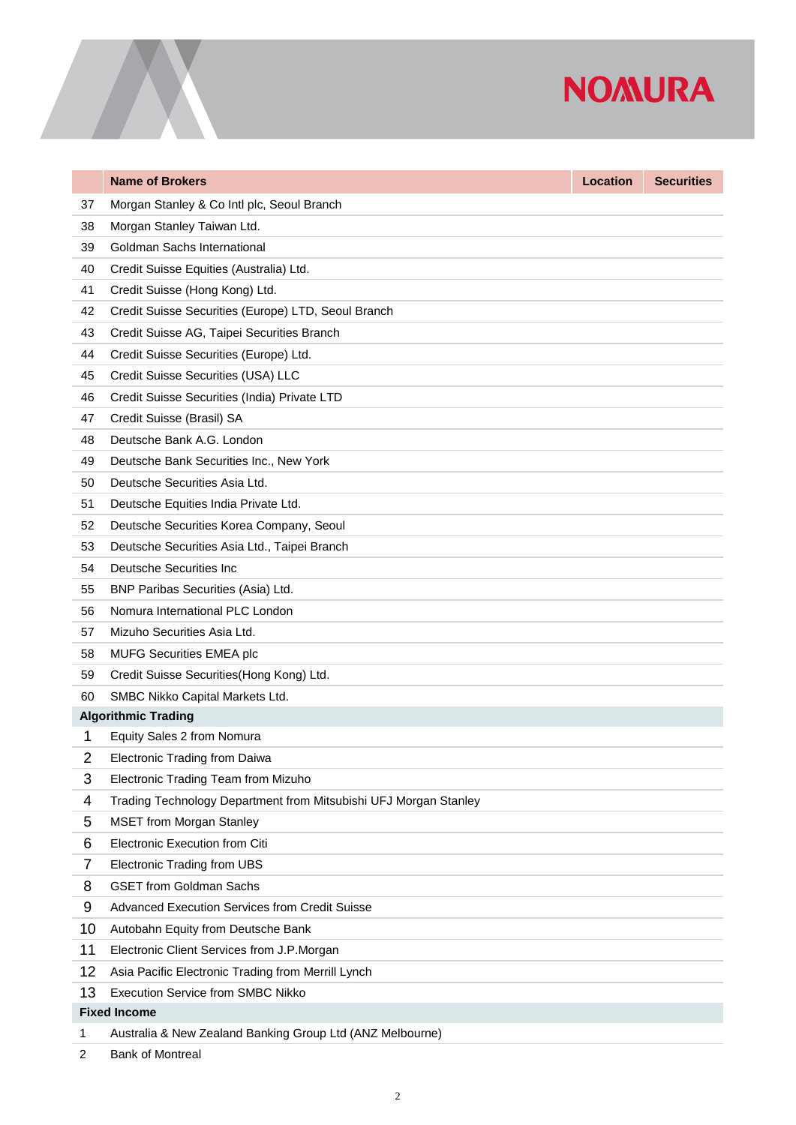# **NOMURA**

|                | <b>Name of Brokers</b>                                           | <b>Location</b> | <b>Securities</b> |  |
|----------------|------------------------------------------------------------------|-----------------|-------------------|--|
| 37             | Morgan Stanley & Co Intl plc, Seoul Branch                       |                 |                   |  |
| 38             | Morgan Stanley Taiwan Ltd.                                       |                 |                   |  |
| 39             | Goldman Sachs International                                      |                 |                   |  |
| 40             | Credit Suisse Equities (Australia) Ltd.                          |                 |                   |  |
| 41             | Credit Suisse (Hong Kong) Ltd.                                   |                 |                   |  |
| 42             | Credit Suisse Securities (Europe) LTD, Seoul Branch              |                 |                   |  |
| 43             | Credit Suisse AG, Taipei Securities Branch                       |                 |                   |  |
| 44             | Credit Suisse Securities (Europe) Ltd.                           |                 |                   |  |
| 45             | Credit Suisse Securities (USA) LLC                               |                 |                   |  |
| 46             | Credit Suisse Securities (India) Private LTD                     |                 |                   |  |
| 47             | Credit Suisse (Brasil) SA                                        |                 |                   |  |
| 48             | Deutsche Bank A.G. London                                        |                 |                   |  |
| 49             | Deutsche Bank Securities Inc., New York                          |                 |                   |  |
| 50             | Deutsche Securities Asia Ltd.                                    |                 |                   |  |
| 51             | Deutsche Equities India Private Ltd.                             |                 |                   |  |
| 52             | Deutsche Securities Korea Company, Seoul                         |                 |                   |  |
| 53             | Deutsche Securities Asia Ltd., Taipei Branch                     |                 |                   |  |
| 54             | Deutsche Securities Inc                                          |                 |                   |  |
| 55             | BNP Paribas Securities (Asia) Ltd.                               |                 |                   |  |
| 56             | Nomura International PLC London                                  |                 |                   |  |
| 57             | Mizuho Securities Asia Ltd.                                      |                 |                   |  |
| 58             | <b>MUFG Securities EMEA plc</b>                                  |                 |                   |  |
| 59             | Credit Suisse Securities (Hong Kong) Ltd.                        |                 |                   |  |
| 60             | SMBC Nikko Capital Markets Ltd.                                  |                 |                   |  |
|                | <b>Algorithmic Trading</b>                                       |                 |                   |  |
| 1              | Equity Sales 2 from Nomura                                       |                 |                   |  |
| $\overline{c}$ | Electronic Trading from Daiwa                                    |                 |                   |  |
| 3              | Electronic Trading Team from Mizuho                              |                 |                   |  |
| 4              | Trading Technology Department from Mitsubishi UFJ Morgan Stanley |                 |                   |  |
| 5              | <b>MSET from Morgan Stanley</b>                                  |                 |                   |  |
| 6              | Electronic Execution from Citi                                   |                 |                   |  |
| $\overline{7}$ | <b>Electronic Trading from UBS</b>                               |                 |                   |  |
| 8              | <b>GSET from Goldman Sachs</b>                                   |                 |                   |  |
| 9              | Advanced Execution Services from Credit Suisse                   |                 |                   |  |
| 10             | Autobahn Equity from Deutsche Bank                               |                 |                   |  |
| 11             | Electronic Client Services from J.P.Morgan                       |                 |                   |  |
| 12             | Asia Pacific Electronic Trading from Merrill Lynch               |                 |                   |  |
| 13             | <b>Execution Service from SMBC Nikko</b>                         |                 |                   |  |
|                | <b>Fixed Income</b>                                              |                 |                   |  |
| 1              | Australia & New Zealand Banking Group Ltd (ANZ Melbourne)        |                 |                   |  |

Bank of Montreal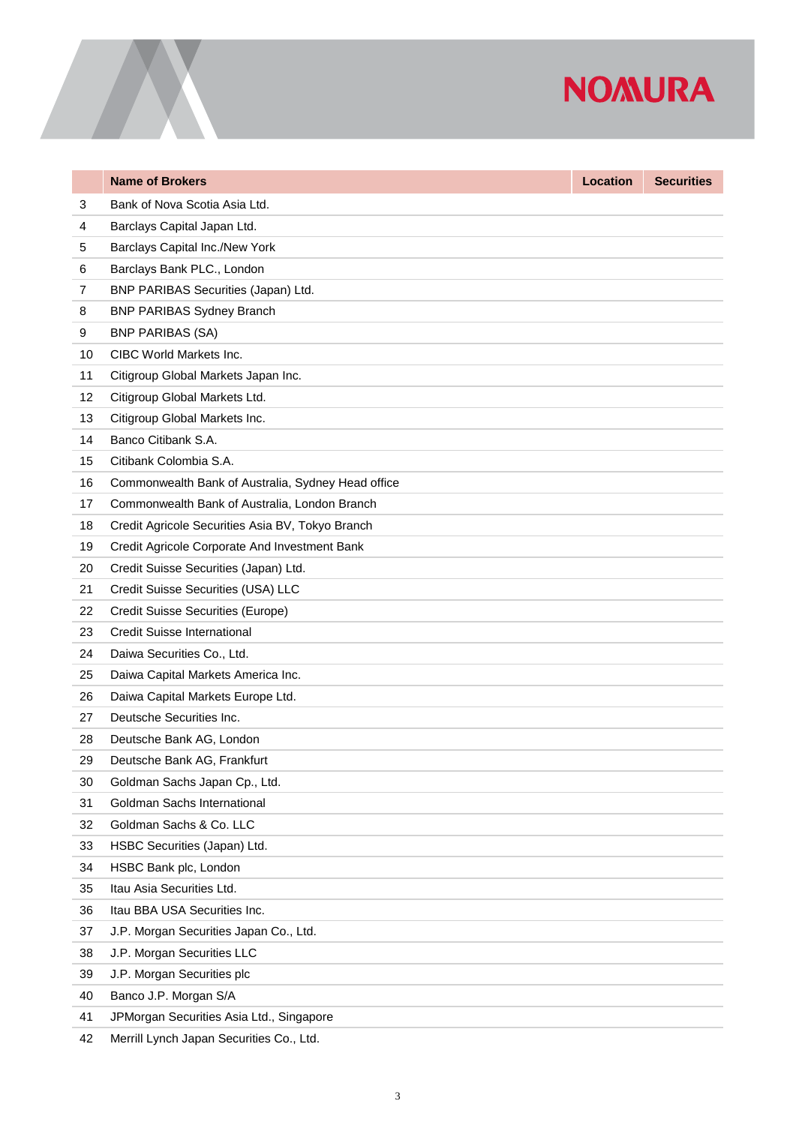## **NOMURA**

|    | <b>Name of Brokers</b>                             | <b>Location</b> | <b>Securities</b> |
|----|----------------------------------------------------|-----------------|-------------------|
| 3  | Bank of Nova Scotia Asia Ltd.                      |                 |                   |
| 4  | Barclays Capital Japan Ltd.                        |                 |                   |
| 5  | Barclays Capital Inc./New York                     |                 |                   |
| 6  | Barclays Bank PLC., London                         |                 |                   |
| 7  | BNP PARIBAS Securities (Japan) Ltd.                |                 |                   |
| 8  | <b>BNP PARIBAS Sydney Branch</b>                   |                 |                   |
| 9  | <b>BNP PARIBAS (SA)</b>                            |                 |                   |
| 10 | CIBC World Markets Inc.                            |                 |                   |
| 11 | Citigroup Global Markets Japan Inc.                |                 |                   |
| 12 | Citigroup Global Markets Ltd.                      |                 |                   |
| 13 | Citigroup Global Markets Inc.                      |                 |                   |
| 14 | Banco Citibank S.A.                                |                 |                   |
| 15 | Citibank Colombia S.A.                             |                 |                   |
| 16 | Commonwealth Bank of Australia, Sydney Head office |                 |                   |
| 17 | Commonwealth Bank of Australia, London Branch      |                 |                   |
| 18 | Credit Agricole Securities Asia BV, Tokyo Branch   |                 |                   |
| 19 | Credit Agricole Corporate And Investment Bank      |                 |                   |
| 20 | Credit Suisse Securities (Japan) Ltd.              |                 |                   |
| 21 | Credit Suisse Securities (USA) LLC                 |                 |                   |
| 22 | Credit Suisse Securities (Europe)                  |                 |                   |
| 23 | <b>Credit Suisse International</b>                 |                 |                   |
| 24 | Daiwa Securities Co., Ltd.                         |                 |                   |
| 25 | Daiwa Capital Markets America Inc.                 |                 |                   |
| 26 | Daiwa Capital Markets Europe Ltd.                  |                 |                   |
| 27 | Deutsche Securities Inc.                           |                 |                   |
| 28 | Deutsche Bank AG, London                           |                 |                   |
| 29 | Deutsche Bank AG, Frankfurt                        |                 |                   |
| 30 | Goldman Sachs Japan Cp., Ltd.                      |                 |                   |
| 31 | Goldman Sachs International                        |                 |                   |
| 32 | Goldman Sachs & Co. LLC                            |                 |                   |
| 33 | HSBC Securities (Japan) Ltd.                       |                 |                   |
| 34 | HSBC Bank plc, London                              |                 |                   |
| 35 | Itau Asia Securities Ltd.                          |                 |                   |
| 36 | Itau BBA USA Securities Inc.                       |                 |                   |
| 37 | J.P. Morgan Securities Japan Co., Ltd.             |                 |                   |
| 38 | J.P. Morgan Securities LLC                         |                 |                   |
| 39 | J.P. Morgan Securities plc                         |                 |                   |
| 40 | Banco J.P. Morgan S/A                              |                 |                   |
| 41 | JPMorgan Securities Asia Ltd., Singapore           |                 |                   |
|    |                                                    |                 |                   |

Merrill Lynch Japan Securities Co., Ltd.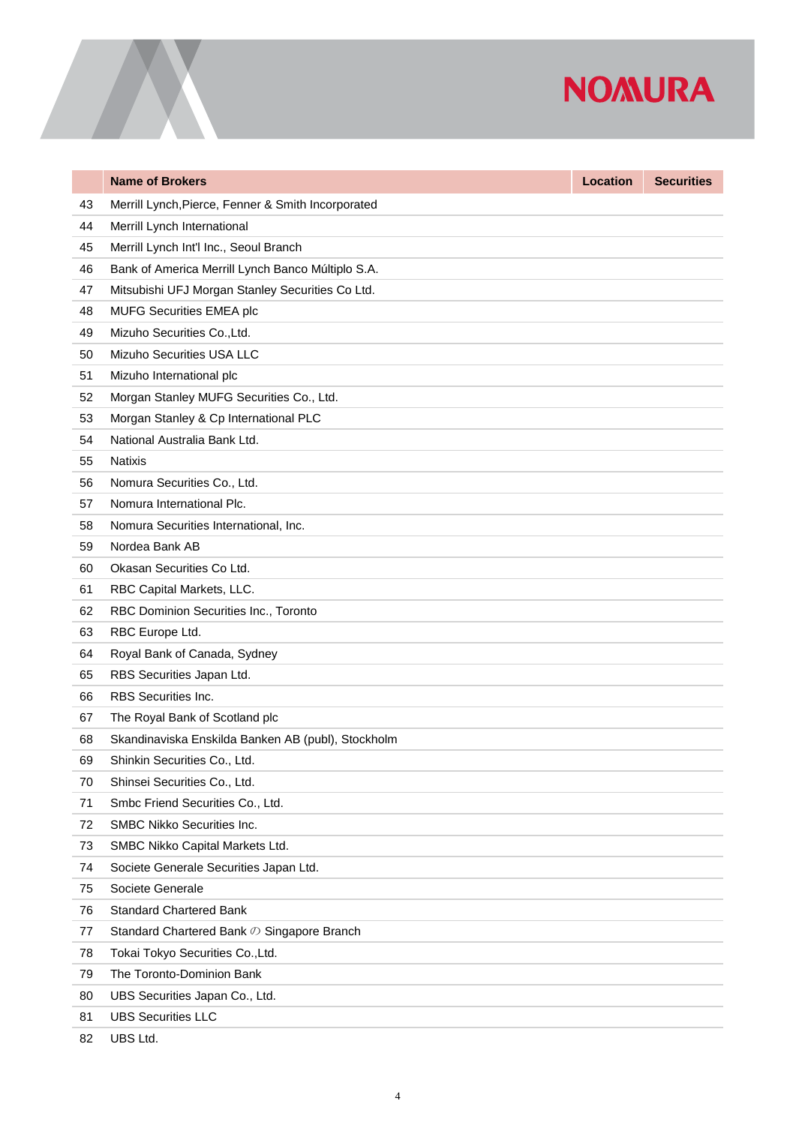# **NOMURA**

|    | <b>Name of Brokers</b>                             | <b>Location</b> | <b>Securities</b> |
|----|----------------------------------------------------|-----------------|-------------------|
| 43 | Merrill Lynch, Pierce, Fenner & Smith Incorporated |                 |                   |
| 44 | Merrill Lynch International                        |                 |                   |
| 45 | Merrill Lynch Int'l Inc., Seoul Branch             |                 |                   |
| 46 | Bank of America Merrill Lynch Banco Múltiplo S.A.  |                 |                   |
| 47 | Mitsubishi UFJ Morgan Stanley Securities Co Ltd.   |                 |                   |
| 48 | MUFG Securities EMEA plc                           |                 |                   |
| 49 | Mizuho Securities Co., Ltd.                        |                 |                   |
| 50 | Mizuho Securities USA LLC                          |                 |                   |
| 51 | Mizuho International plc                           |                 |                   |
| 52 | Morgan Stanley MUFG Securities Co., Ltd.           |                 |                   |
| 53 | Morgan Stanley & Cp International PLC              |                 |                   |
| 54 | National Australia Bank Ltd.                       |                 |                   |
| 55 | <b>Natixis</b>                                     |                 |                   |
| 56 | Nomura Securities Co., Ltd.                        |                 |                   |
| 57 | Nomura International Plc.                          |                 |                   |
| 58 | Nomura Securities International, Inc.              |                 |                   |
| 59 | Nordea Bank AB                                     |                 |                   |
| 60 | Okasan Securities Co Ltd.                          |                 |                   |
| 61 | RBC Capital Markets, LLC.                          |                 |                   |
| 62 | RBC Dominion Securities Inc., Toronto              |                 |                   |
| 63 | RBC Europe Ltd.                                    |                 |                   |
| 64 | Royal Bank of Canada, Sydney                       |                 |                   |
| 65 | RBS Securities Japan Ltd.                          |                 |                   |
| 66 | RBS Securities Inc.                                |                 |                   |
| 67 | The Royal Bank of Scotland plc                     |                 |                   |
| 68 | Skandinaviska Enskilda Banken AB (publ), Stockholm |                 |                   |
| 69 | Shinkin Securities Co., Ltd.                       |                 |                   |
| 70 | Shinsei Securities Co., Ltd.                       |                 |                   |
| 71 | Smbc Friend Securities Co., Ltd.                   |                 |                   |
| 72 | SMBC Nikko Securities Inc.                         |                 |                   |
| 73 | SMBC Nikko Capital Markets Ltd.                    |                 |                   |
| 74 | Societe Generale Securities Japan Ltd.             |                 |                   |
| 75 | Societe Generale                                   |                 |                   |
| 76 | <b>Standard Chartered Bank</b>                     |                 |                   |
| 77 | Standard Chartered Bank $\oslash$ Singapore Branch |                 |                   |
| 78 | Tokai Tokyo Securities Co., Ltd.                   |                 |                   |
| 79 | The Toronto-Dominion Bank                          |                 |                   |
| 80 | UBS Securities Japan Co., Ltd.                     |                 |                   |
| 81 | <b>UBS Securities LLC</b>                          |                 |                   |

UBS Ltd.